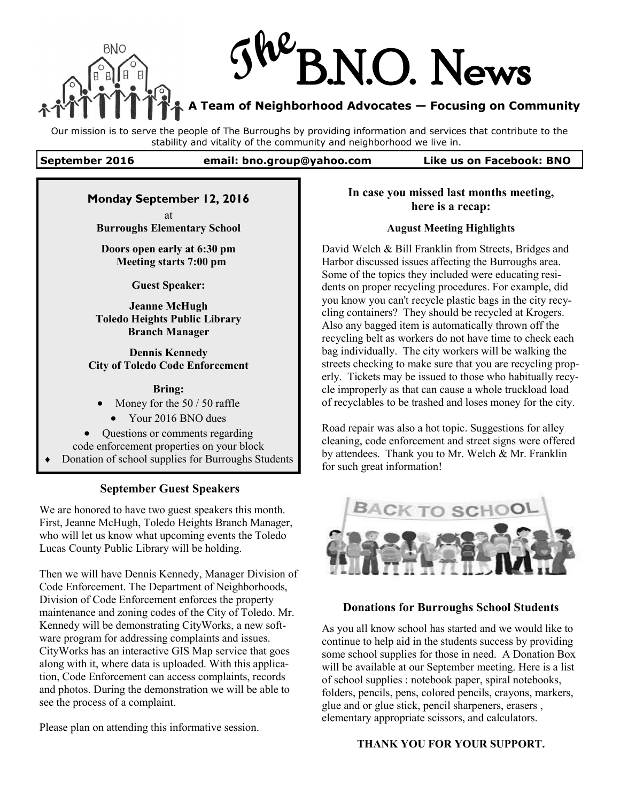

Our mission is to serve the people of The Burroughs by providing information and services that contribute to the stability and vitality of the community and neighborhood we live in.

## **September 2016 email: bno.group@yahoo.com Like us on Facebook: BNO**

## **Monday September 12, 2016**

at **Burroughs Elementary School** 

**Doors open early at 6:30 pm Meeting starts 7:00 pm**

**Guest Speaker:**

**Jeanne McHugh Toledo Heights Public Library Branch Manager**

**Dennis Kennedy City of Toledo Code Enforcement**

#### **Bring:**

Money for the 50 / 50 raffle

• Your 2016 BNO dues

 Questions or comments regarding code enforcement properties on your block Donation of school supplies for Burroughs Students

# **September Guest Speakers**

We are honored to have two guest speakers this month. First, Jeanne McHugh, Toledo Heights Branch Manager, who will let us know what upcoming events the Toledo Lucas County Public Library will be holding.

Then we will have Dennis Kennedy, Manager Division of Code Enforcement. The Department of Neighborhoods, Division of Code Enforcement enforces the property maintenance and zoning codes of the City of Toledo. Mr. Kennedy will be demonstrating CityWorks, a new software program for addressing complaints and issues. CityWorks has an interactive GIS Map service that goes along with it, where data is uploaded. With this application, Code Enforcement can access complaints, records and photos. During the demonstration we will be able to see the process of a complaint.

Please plan on attending this informative session.

# **In case you missed last months meeting, here is a recap:**

## **August Meeting Highlights**

David Welch & Bill Franklin from Streets, Bridges and Harbor discussed issues affecting the Burroughs area. Some of the topics they included were educating residents on proper recycling procedures. For example, did you know you can't recycle plastic bags in the city recycling containers? They should be recycled at Krogers. Also any bagged item is automatically thrown off the recycling belt as workers do not have time to check each bag individually. The city workers will be walking the streets checking to make sure that you are recycling properly. Tickets may be issued to those who habitually recycle improperly as that can cause a whole truckload load of recyclables to be trashed and loses money for the city.

Road repair was also a hot topic. Suggestions for alley cleaning, code enforcement and street signs were offered by attendees. Thank you to Mr. Welch & Mr. Franklin for such great information!



### **Donations for Burroughs School Students**

As you all know school has started and we would like to continue to help aid in the students success by providing some school supplies for those in need. A Donation Box will be available at our September meeting. Here is a list of school supplies : notebook paper, spiral notebooks, folders, pencils, pens, colored pencils, crayons, markers, glue and or glue stick, pencil sharpeners, erasers , elementary appropriate scissors, and calculators.

### **THANK YOU FOR YOUR SUPPORT.**